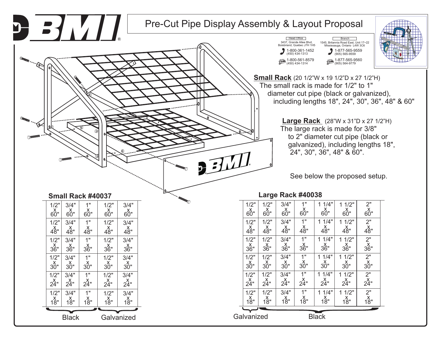